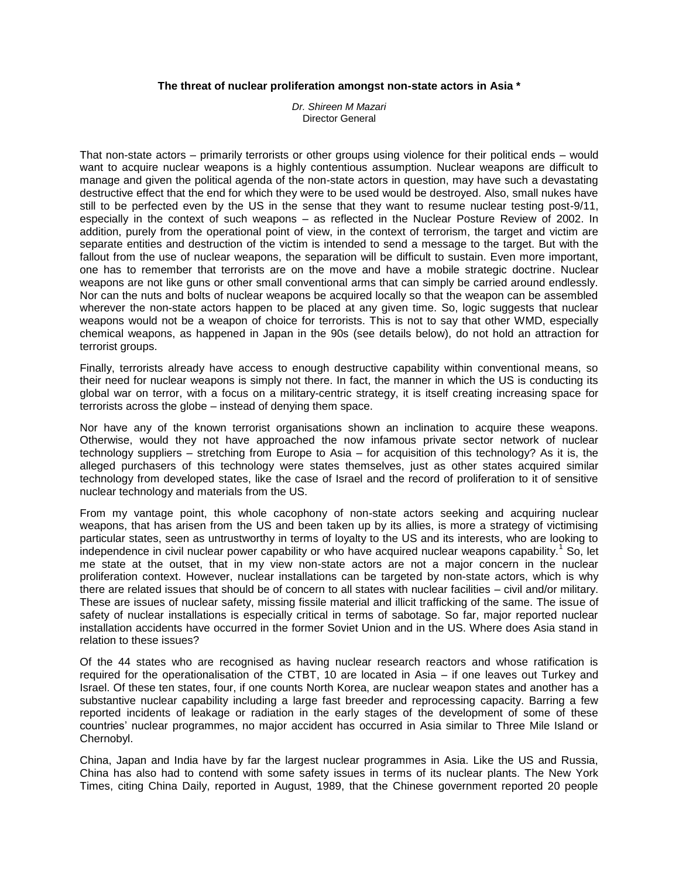## **The threat of nuclear proliferation amongst non-state actors in Asia \***

*Dr. Shireen M Mazari* Director General

That non-state actors – primarily terrorists or other groups using violence for their political ends – would want to acquire nuclear weapons is a highly contentious assumption. Nuclear weapons are difficult to manage and given the political agenda of the non-state actors in question, may have such a devastating destructive effect that the end for which they were to be used would be destroyed. Also, small nukes have still to be perfected even by the US in the sense that they want to resume nuclear testing post-9/11, especially in the context of such weapons – as reflected in the Nuclear Posture Review of 2002. In addition, purely from the operational point of view, in the context of terrorism, the target and victim are separate entities and destruction of the victim is intended to send a message to the target. But with the fallout from the use of nuclear weapons, the separation will be difficult to sustain. Even more important, one has to remember that terrorists are on the move and have a mobile strategic doctrine. Nuclear weapons are not like guns or other small conventional arms that can simply be carried around endlessly. Nor can the nuts and bolts of nuclear weapons be acquired locally so that the weapon can be assembled wherever the non-state actors happen to be placed at any given time. So, logic suggests that nuclear weapons would not be a weapon of choice for terrorists. This is not to say that other WMD, especially chemical weapons, as happened in Japan in the 90s (see details below), do not hold an attraction for terrorist groups.

Finally, terrorists already have access to enough destructive capability within conventional means, so their need for nuclear weapons is simply not there. In fact, the manner in which the US is conducting its global war on terror, with a focus on a military-centric strategy, it is itself creating increasing space for terrorists across the globe – instead of denying them space.

Nor have any of the known terrorist organisations shown an inclination to acquire these weapons. Otherwise, would they not have approached the now infamous private sector network of nuclear technology suppliers – stretching from Europe to Asia – for acquisition of this technology? As it is, the alleged purchasers of this technology were states themselves, just as other states acquired similar technology from developed states, like the case of Israel and the record of proliferation to it of sensitive nuclear technology and materials from the US.

From my vantage point, this whole cacophony of non-state actors seeking and acquiring nuclear weapons, that has arisen from the US and been taken up by its allies, is more a strategy of victimising particular states, seen as untrustworthy in terms of loyalty to the US and its interests, who are looking to independence in civil nuclear power capability or who have acquired nuclear weapons capability.<sup>1</sup> So, let me state at the outset, that in my view non-state actors are not a major concern in the nuclear proliferation context. However, nuclear installations can be targeted by non-state actors, which is why there are related issues that should be of concern to all states with nuclear facilities – civil and/or military. These are issues of nuclear safety, missing fissile material and illicit trafficking of the same. The issue of safety of nuclear installations is especially critical in terms of sabotage. So far, major reported nuclear installation accidents have occurred in the former Soviet Union and in the US. Where does Asia stand in relation to these issues?

Of the 44 states who are recognised as having nuclear research reactors and whose ratification is required for the operationalisation of the CTBT, 10 are located in Asia – if one leaves out Turkey and Israel. Of these ten states, four, if one counts North Korea, are nuclear weapon states and another has a substantive nuclear capability including a large fast breeder and reprocessing capacity. Barring a few reported incidents of leakage or radiation in the early stages of the development of some of these countries" nuclear programmes, no major accident has occurred in Asia similar to Three Mile Island or Chernobyl.

China, Japan and India have by far the largest nuclear programmes in Asia. Like the US and Russia, China has also had to contend with some safety issues in terms of its nuclear plants. The New York Times, citing China Daily, reported in August, 1989, that the Chinese government reported 20 people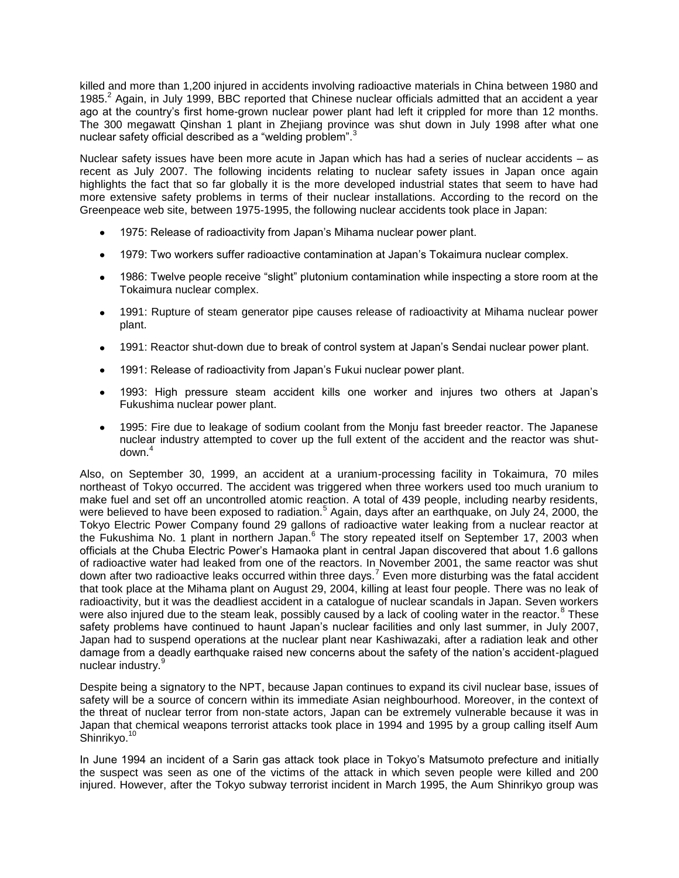killed and more than 1,200 injured in accidents involving radioactive materials in China between 1980 and 1985.<sup>2</sup> Again, in July 1999, BBC reported that Chinese nuclear officials admitted that an accident a year ago at the country"s first home-grown nuclear power plant had left it crippled for more than 12 months. The 300 megawatt Qinshan 1 plant in Zhejiang province was shut down in July 1998 after what one nuclear safety official described as a "welding problem".<sup>3</sup>

Nuclear safety issues have been more acute in Japan which has had a series of nuclear accidents – as recent as July 2007. The following incidents relating to nuclear safety issues in Japan once again highlights the fact that so far globally it is the more developed industrial states that seem to have had more extensive safety problems in terms of their nuclear installations. According to the record on the Greenpeace web site, between 1975-1995, the following nuclear accidents took place in Japan:

- 1975: Release of radioactivity from Japan"s Mihama nuclear power plant.
- 1979: Two workers suffer radioactive contamination at Japan"s Tokaimura nuclear complex.
- 1986: Twelve people receive "slight" plutonium contamination while inspecting a store room at the  $\bullet$ Tokaimura nuclear complex.
- 1991: Rupture of steam generator pipe causes release of radioactivity at Mihama nuclear power  $\bullet$ plant.
- 1991: Reactor shut-down due to break of control system at Japan"s Sendai nuclear power plant.
- 1991: Release of radioactivity from Japan"s Fukui nuclear power plant.
- 1993: High pressure steam accident kills one worker and injures two others at Japan"s  $\bullet$ Fukushima nuclear power plant.
- 1995: Fire due to leakage of sodium coolant from the Monju fast breeder reactor. The Japanese nuclear industry attempted to cover up the full extent of the accident and the reactor was shutdown.<sup>4</sup>

Also, on September 30, 1999, an accident at a uranium-processing facility in Tokaimura, 70 miles northeast of Tokyo occurred. The accident was triggered when three workers used too much uranium to make fuel and set off an uncontrolled atomic reaction. A total of 439 people, including nearby residents, were believed to have been exposed to radiation.<sup>5</sup> Again, days after an earthquake, on July 24, 2000, the Tokyo Electric Power Company found 29 gallons of radioactive water leaking from a nuclear reactor at the Fukushima No. 1 plant in northern Japan.<sup>6</sup> The story repeated itself on September 17, 2003 when officials at the Chuba Electric Power"s Hamaoka plant in central Japan discovered that about 1.6 gallons of radioactive water had leaked from one of the reactors. In November 2001, the same reactor was shut down after two radioactive leaks occurred within three days.<sup>7</sup> Even more disturbing was the fatal accident that took place at the Mihama plant on August 29, 2004, killing at least four people. There was no leak of radioactivity, but it was the deadliest accident in a catalogue of nuclear scandals in Japan. Seven workers were also injured due to the steam leak, possibly caused by a lack of cooling water in the reactor.<sup>8</sup> These safety problems have continued to haunt Japan"s nuclear facilities and only last summer, in July 2007, Japan had to suspend operations at the nuclear plant near Kashiwazaki, after a radiation leak and other damage from a deadly earthquake raised new concerns about the safety of the nation"s accident-plagued nuclear industry.<sup>9</sup>

Despite being a signatory to the NPT, because Japan continues to expand its civil nuclear base, issues of safety will be a source of concern within its immediate Asian neighbourhood. Moreover, in the context of the threat of nuclear terror from non-state actors, Japan can be extremely vulnerable because it was in Japan that chemical weapons terrorist attacks took place in 1994 and 1995 by a group calling itself Aum Shinrikyo.<sup>10</sup>

In June 1994 an incident of a Sarin gas attack took place in Tokyo"s Matsumoto prefecture and initially the suspect was seen as one of the victims of the attack in which seven people were killed and 200 injured. However, after the Tokyo subway terrorist incident in March 1995, the Aum Shinrikyo group was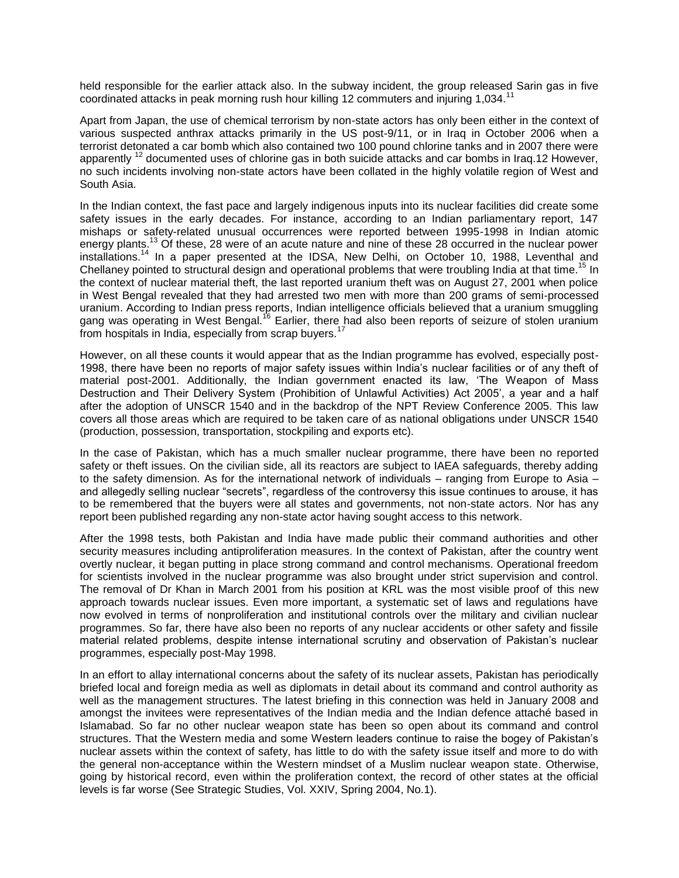held responsible for the earlier attack also. In the subway incident, the group released Sarin gas in five coordinated attacks in peak morning rush hour killing 12 commuters and injuring 1,034.<sup>11</sup>

Apart from Japan, the use of chemical terrorism by non-state actors has only been either in the context of various suspected anthrax attacks primarily in the US post-9/11, or in Iraq in October 2006 when a terrorist detonated a car bomb which also contained two 100 pound chlorine tanks and in 2007 there were apparently <sup>12</sup> documented uses of chlorine gas in both suicide attacks and car bombs in Iraq.12 However, no such incidents involving non-state actors have been collated in the highly volatile region of West and South Asia.

In the Indian context, the fast pace and largely indigenous inputs into its nuclear facilities did create some safety issues in the early decades. For instance, according to an Indian parliamentary report, 147 mishaps or safety-related unusual occurrences were reported between 1995-1998 in Indian atomic energy plants.<sup>13</sup> Of these, 28 were of an acute nature and nine of these 28 occurred in the nuclear power installations.<sup>14</sup> In a paper presented at the IDSA, New Delhi, on October 10, 1988, Leventhal and Chellaney pointed to structural design and operational problems that were troubling India at that time.<sup>15</sup> In the context of nuclear material theft, the last reported uranium theft was on August 27, 2001 when police in West Bengal revealed that they had arrested two men with more than 200 grams of semi-processed uranium. According to Indian press reports, Indian intelligence officials believed that a uranium smuggling gang was operating in West Bengal.<sup>16</sup> Earlier, there had also been reports of seizure of stolen uranium from hospitals in India, especially from scrap buyers.<sup>17</sup>

However, on all these counts it would appear that as the Indian programme has evolved, especially post-1998, there have been no reports of major safety issues within India"s nuclear facilities or of any theft of material post-2001. Additionally, the Indian government enacted its law, "The Weapon of Mass Destruction and Their Delivery System (Prohibition of Unlawful Activities) Act 2005', a year and a half after the adoption of UNSCR 1540 and in the backdrop of the NPT Review Conference 2005. This law covers all those areas which are required to be taken care of as national obligations under UNSCR 1540 (production, possession, transportation, stockpiling and exports etc).

In the case of Pakistan, which has a much smaller nuclear programme, there have been no reported safety or theft issues. On the civilian side, all its reactors are subject to IAEA safeguards, thereby adding to the safety dimension. As for the international network of individuals – ranging from Europe to Asia – and allegedly selling nuclear "secrets", regardless of the controversy this issue continues to arouse, it has to be remembered that the buyers were all states and governments, not non-state actors. Nor has any report been published regarding any non-state actor having sought access to this network.

After the 1998 tests, both Pakistan and India have made public their command authorities and other security measures including antiproliferation measures. In the context of Pakistan, after the country went overtly nuclear, it began putting in place strong command and control mechanisms. Operational freedom for scientists involved in the nuclear programme was also brought under strict supervision and control. The removal of Dr Khan in March 2001 from his position at KRL was the most visible proof of this new approach towards nuclear issues. Even more important, a systematic set of laws and regulations have now evolved in terms of nonproliferation and institutional controls over the military and civilian nuclear programmes. So far, there have also been no reports of any nuclear accidents or other safety and fissile material related problems, despite intense international scrutiny and observation of Pakistan"s nuclear programmes, especially post-May 1998.

In an effort to allay international concerns about the safety of its nuclear assets, Pakistan has periodically briefed local and foreign media as well as diplomats in detail about its command and control authority as well as the management structures. The latest briefing in this connection was held in January 2008 and amongst the invitees were representatives of the Indian media and the Indian defence attaché based in Islamabad. So far no other nuclear weapon state has been so open about its command and control structures. That the Western media and some Western leaders continue to raise the bogey of Pakistan"s nuclear assets within the context of safety, has little to do with the safety issue itself and more to do with the general non-acceptance within the Western mindset of a Muslim nuclear weapon state. Otherwise, going by historical record, even within the proliferation context, the record of other states at the official levels is far worse (See Strategic Studies, Vol. XXIV, Spring 2004, No.1).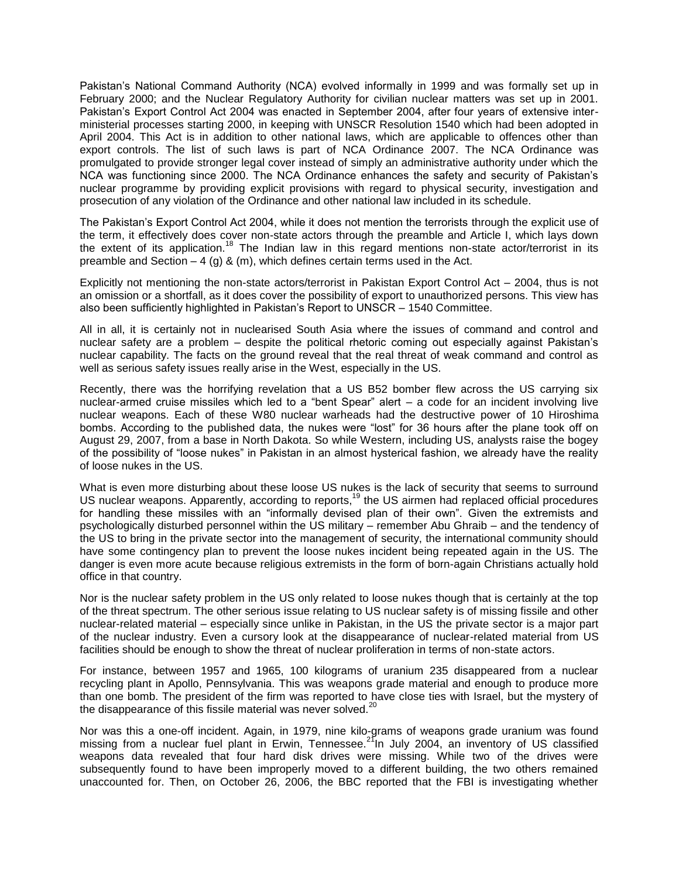Pakistan"s National Command Authority (NCA) evolved informally in 1999 and was formally set up in February 2000; and the Nuclear Regulatory Authority for civilian nuclear matters was set up in 2001. Pakistan"s Export Control Act 2004 was enacted in September 2004, after four years of extensive interministerial processes starting 2000, in keeping with UNSCR Resolution 1540 which had been adopted in April 2004. This Act is in addition to other national laws, which are applicable to offences other than export controls. The list of such laws is part of NCA Ordinance 2007. The NCA Ordinance was promulgated to provide stronger legal cover instead of simply an administrative authority under which the NCA was functioning since 2000. The NCA Ordinance enhances the safety and security of Pakistan"s nuclear programme by providing explicit provisions with regard to physical security, investigation and prosecution of any violation of the Ordinance and other national law included in its schedule.

The Pakistan"s Export Control Act 2004, while it does not mention the terrorists through the explicit use of the term, it effectively does cover non-state actors through the preamble and Article I, which lays down the extent of its application.<sup>18</sup> The Indian law in this regard mentions non-state actor/terrorist in its preamble and Section  $-4$  (g) & (m), which defines certain terms used in the Act.

Explicitly not mentioning the non-state actors/terrorist in Pakistan Export Control Act – 2004, thus is not an omission or a shortfall, as it does cover the possibility of export to unauthorized persons. This view has also been sufficiently highlighted in Pakistan"s Report to UNSCR – 1540 Committee.

All in all, it is certainly not in nuclearised South Asia where the issues of command and control and nuclear safety are a problem – despite the political rhetoric coming out especially against Pakistan"s nuclear capability. The facts on the ground reveal that the real threat of weak command and control as well as serious safety issues really arise in the West, especially in the US.

Recently, there was the horrifying revelation that a US B52 bomber flew across the US carrying six nuclear-armed cruise missiles which led to a "bent Spear" alert – a code for an incident involving live nuclear weapons. Each of these W80 nuclear warheads had the destructive power of 10 Hiroshima bombs. According to the published data, the nukes were "lost" for 36 hours after the plane took off on August 29, 2007, from a base in North Dakota. So while Western, including US, analysts raise the bogey of the possibility of "loose nukes" in Pakistan in an almost hysterical fashion, we already have the reality of loose nukes in the US.

What is even more disturbing about these loose US nukes is the lack of security that seems to surround US nuclear weapons. Apparently, according to reports,<sup>19</sup> the US airmen had replaced official procedures for handling these missiles with an "informally devised plan of their own". Given the extremists and psychologically disturbed personnel within the US military – remember Abu Ghraib – and the tendency of the US to bring in the private sector into the management of security, the international community should have some contingency plan to prevent the loose nukes incident being repeated again in the US. The danger is even more acute because religious extremists in the form of born-again Christians actually hold office in that country.

Nor is the nuclear safety problem in the US only related to loose nukes though that is certainly at the top of the threat spectrum. The other serious issue relating to US nuclear safety is of missing fissile and other nuclear-related material – especially since unlike in Pakistan, in the US the private sector is a major part of the nuclear industry. Even a cursory look at the disappearance of nuclear-related material from US facilities should be enough to show the threat of nuclear proliferation in terms of non-state actors.

For instance, between 1957 and 1965, 100 kilograms of uranium 235 disappeared from a nuclear recycling plant in Apollo, Pennsylvania. This was weapons grade material and enough to produce more than one bomb. The president of the firm was reported to have close ties with Israel, but the mystery of the disappearance of this fissile material was never solved.<sup>20</sup>

Nor was this a one-off incident. Again, in 1979, nine kilo-grams of weapons grade uranium was found missing from a nuclear fuel plant in Erwin, Tennessee.<sup>21</sup>In July 2004, an inventory of US classified weapons data revealed that four hard disk drives were missing. While two of the drives were subsequently found to have been improperly moved to a different building, the two others remained unaccounted for. Then, on October 26, 2006, the BBC reported that the FBI is investigating whether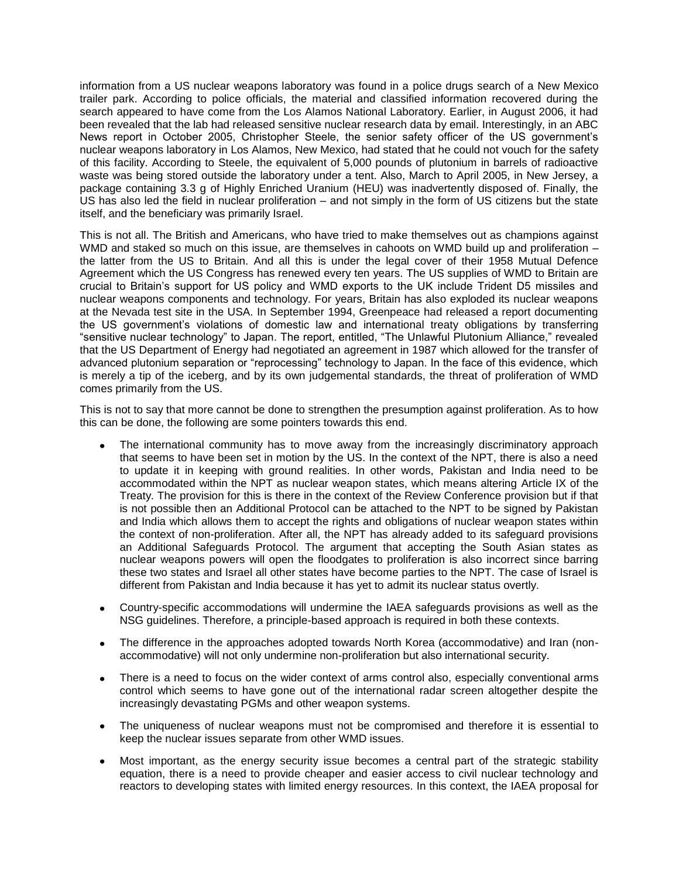information from a US nuclear weapons laboratory was found in a police drugs search of a New Mexico trailer park. According to police officials, the material and classified information recovered during the search appeared to have come from the Los Alamos National Laboratory. Earlier, in August 2006, it had been revealed that the lab had released sensitive nuclear research data by email. Interestingly, in an ABC News report in October 2005, Christopher Steele, the senior safety officer of the US government"s nuclear weapons laboratory in Los Alamos, New Mexico, had stated that he could not vouch for the safety of this facility. According to Steele, the equivalent of 5,000 pounds of plutonium in barrels of radioactive waste was being stored outside the laboratory under a tent. Also, March to April 2005, in New Jersey, a package containing 3.3 g of Highly Enriched Uranium (HEU) was inadvertently disposed of. Finally, the US has also led the field in nuclear proliferation – and not simply in the form of US citizens but the state itself, and the beneficiary was primarily Israel.

This is not all. The British and Americans, who have tried to make themselves out as champions against WMD and staked so much on this issue, are themselves in cahoots on WMD build up and proliferation – the latter from the US to Britain. And all this is under the legal cover of their 1958 Mutual Defence Agreement which the US Congress has renewed every ten years. The US supplies of WMD to Britain are crucial to Britain"s support for US policy and WMD exports to the UK include Trident D5 missiles and nuclear weapons components and technology. For years, Britain has also exploded its nuclear weapons at the Nevada test site in the USA. In September 1994, Greenpeace had released a report documenting the US government"s violations of domestic law and international treaty obligations by transferring "sensitive nuclear technology" to Japan. The report, entitled, "The Unlawful Plutonium Alliance," revealed that the US Department of Energy had negotiated an agreement in 1987 which allowed for the transfer of advanced plutonium separation or "reprocessing" technology to Japan. In the face of this evidence, which is merely a tip of the iceberg, and by its own judgemental standards, the threat of proliferation of WMD comes primarily from the US.

This is not to say that more cannot be done to strengthen the presumption against proliferation. As to how this can be done, the following are some pointers towards this end.

- The international community has to move away from the increasingly discriminatory approach that seems to have been set in motion by the US. In the context of the NPT, there is also a need to update it in keeping with ground realities. In other words, Pakistan and India need to be accommodated within the NPT as nuclear weapon states, which means altering Article IX of the Treaty. The provision for this is there in the context of the Review Conference provision but if that is not possible then an Additional Protocol can be attached to the NPT to be signed by Pakistan and India which allows them to accept the rights and obligations of nuclear weapon states within the context of non-proliferation. After all, the NPT has already added to its safeguard provisions an Additional Safeguards Protocol. The argument that accepting the South Asian states as nuclear weapons powers will open the floodgates to proliferation is also incorrect since barring these two states and Israel all other states have become parties to the NPT. The case of Israel is different from Pakistan and India because it has yet to admit its nuclear status overtly.
- Country-specific accommodations will undermine the IAEA safeguards provisions as well as the  $\bullet$ NSG guidelines. Therefore, a principle-based approach is required in both these contexts.
- The difference in the approaches adopted towards North Korea (accommodative) and Iran (non- $\bullet$ accommodative) will not only undermine non-proliferation but also international security.
- There is a need to focus on the wider context of arms control also, especially conventional arms control which seems to have gone out of the international radar screen altogether despite the increasingly devastating PGMs and other weapon systems.
- The uniqueness of nuclear weapons must not be compromised and therefore it is essential to keep the nuclear issues separate from other WMD issues.
- Most important, as the energy security issue becomes a central part of the strategic stability equation, there is a need to provide cheaper and easier access to civil nuclear technology and reactors to developing states with limited energy resources. In this context, the IAEA proposal for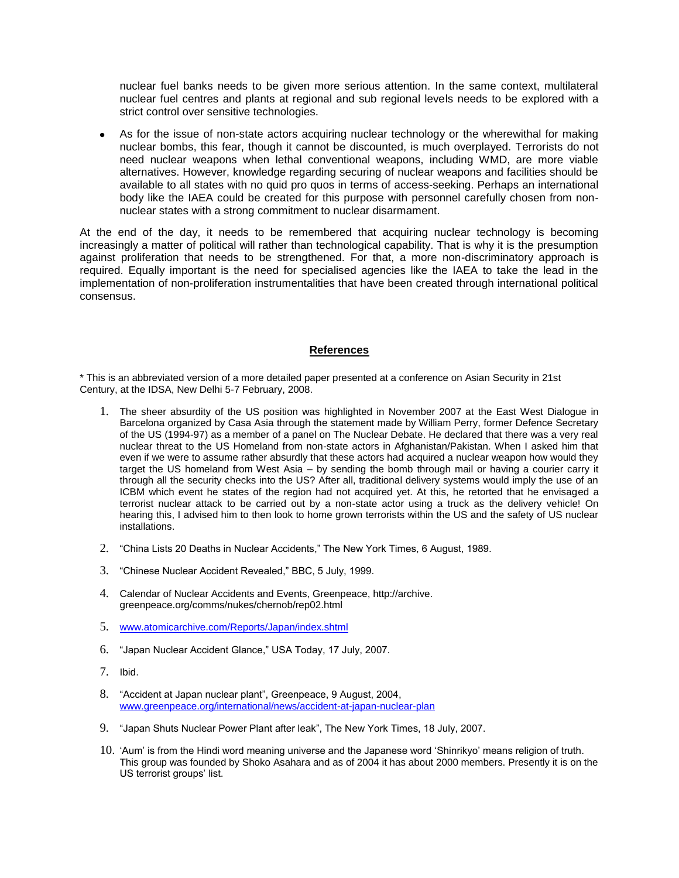nuclear fuel banks needs to be given more serious attention. In the same context, multilateral nuclear fuel centres and plants at regional and sub regional levels needs to be explored with a strict control over sensitive technologies.

As for the issue of non-state actors acquiring nuclear technology or the wherewithal for making nuclear bombs, this fear, though it cannot be discounted, is much overplayed. Terrorists do not need nuclear weapons when lethal conventional weapons, including WMD, are more viable alternatives. However, knowledge regarding securing of nuclear weapons and facilities should be available to all states with no quid pro quos in terms of access-seeking. Perhaps an international body like the IAEA could be created for this purpose with personnel carefully chosen from nonnuclear states with a strong commitment to nuclear disarmament.

At the end of the day, it needs to be remembered that acquiring nuclear technology is becoming increasingly a matter of political will rather than technological capability. That is why it is the presumption against proliferation that needs to be strengthened. For that, a more non-discriminatory approach is required. Equally important is the need for specialised agencies like the IAEA to take the lead in the implementation of non-proliferation instrumentalities that have been created through international political consensus.

## **References**

\* This is an abbreviated version of a more detailed paper presented at a conference on Asian Security in 21st Century, at the IDSA, New Delhi 5-7 February, 2008.

- 1. The sheer absurdity of the US position was highlighted in November 2007 at the East West Dialogue in Barcelona organized by Casa Asia through the statement made by William Perry, former Defence Secretary of the US (1994-97) as a member of a panel on The Nuclear Debate. He declared that there was a very real nuclear threat to the US Homeland from non-state actors in Afghanistan/Pakistan. When I asked him that even if we were to assume rather absurdly that these actors had acquired a nuclear weapon how would they target the US homeland from West Asia – by sending the bomb through mail or having a courier carry it through all the security checks into the US? After all, traditional delivery systems would imply the use of an ICBM which event he states of the region had not acquired yet. At this, he retorted that he envisaged a terrorist nuclear attack to be carried out by a non-state actor using a truck as the delivery vehicle! On hearing this, I advised him to then look to home grown terrorists within the US and the safety of US nuclear installations.
- 2. "China Lists 20 Deaths in Nuclear Accidents," The New York Times, 6 August, 1989.
- 3. "Chinese Nuclear Accident Revealed," BBC, 5 July, 1999.
- 4. Calendar of Nuclear Accidents and Events, Greenpeace, http://archive. greenpeace.org/comms/nukes/chernob/rep02.html
- 5. [www.atomicarchive.com/Reports/Japan/index.shtml](http://www.atomicarchive.com/Reports/Japan/index.shtml)
- 6. "Japan Nuclear Accident Glance," USA Today, 17 July, 2007.
- 7. Ibid.
- 8. "Accident at Japan nuclear plant", Greenpeace, 9 August, 2004, [www.greenpeace.org/international/news/accident-at-japan-nuclear-plan](http://www.greenpeace.org/international/news/accident-at-japan-nuclear-plan)
- 9. "Japan Shuts Nuclear Power Plant after leak", The New York Times, 18 July, 2007.
- 10. "Aum" is from the Hindi word meaning universe and the Japanese word "Shinrikyo" means religion of truth. This group was founded by Shoko Asahara and as of 2004 it has about 2000 members. Presently it is on the US terrorist groups' list.